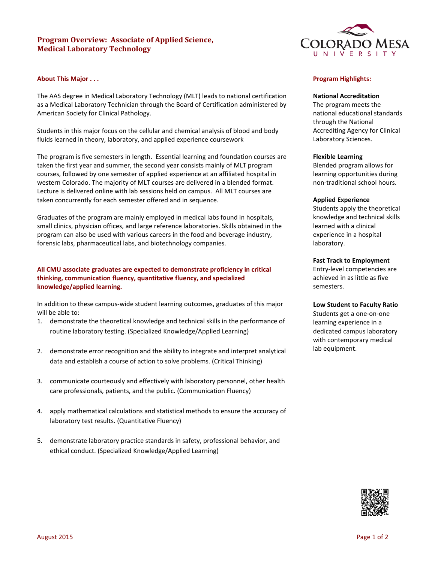# **Program Overview: Associate of Applied Science, Medical Laboratory Technology**

## **About This Major . . .**

The AAS degree in Medical Laboratory Technology (MLT) leads to national certification as a Medical Laboratory Technician through the Board of Certification administered by American Society for Clinical Pathology.

Students in this major focus on the cellular and chemical analysis of blood and body fluids learned in theory, laboratory, and applied experience coursework

The program is five semesters in length. Essential learning and foundation courses are taken the first year and summer, the second year consists mainly of MLT program courses, followed by one semester of applied experience at an affiliated hospital in western Colorado. The majority of MLT courses are delivered in a blended format. Lecture is delivered online with lab sessions held on campus. All MLT courses are taken concurrently for each semester offered and in sequence.

Graduates of the program are mainly employed in medical labs found in hospitals, small clinics, physician offices, and large reference laboratories. Skills obtained in the program can also be used with various careers in the food and beverage industry, forensic labs, pharmaceutical labs, and biotechnology companies.

# **All CMU associate graduates are expected to demonstrate proficiency in critical thinking, communication fluency, quantitative fluency, and specialized knowledge/applied learning.**

In addition to these campus-wide student learning outcomes, graduates of this major will be able to:

- 1. demonstrate the theoretical knowledge and technical skills in the performance of routine laboratory testing. (Specialized Knowledge/Applied Learning)
- 2. demonstrate error recognition and the ability to integrate and interpret analytical data and establish a course of action to solve problems. (Critical Thinking)
- 3. communicate courteously and effectively with laboratory personnel, other health care professionals, patients, and the public. (Communication Fluency)
- 4. apply mathematical calculations and statistical methods to ensure the accuracy of laboratory test results. (Quantitative Fluency)
- 5. demonstrate laboratory practice standards in safety, professional behavior, and ethical conduct. (Specialized Knowledge/Applied Learning)



# **Program Highlights:**

### **National Accreditation**

The program meets the national educational standards through the National Accrediting Agency for Clinical Laboratory Sciences.

#### **Flexible Learning**

Blended program allows for learning opportunities during non-traditional school hours.

#### **Applied Experience**

Students apply the theoretical knowledge and technical skills learned with a clinical experience in a hospital laboratory.

#### **Fast Track to Employment**

Entry-level competencies are achieved in as little as five semesters.

### **Low Student to Faculty Ratio**

Students get a one-on-one learning experience in a dedicated campus laboratory with contemporary medical lab equipment.